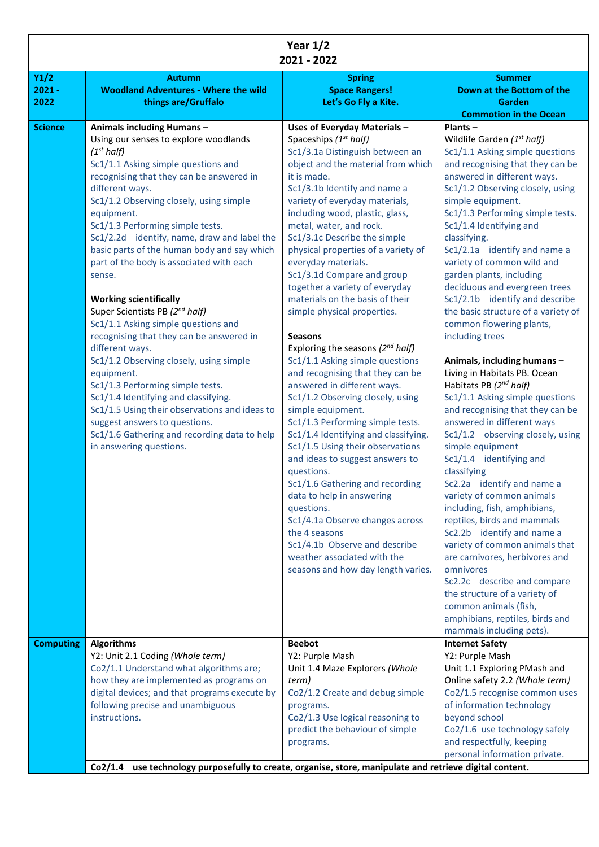| Year $1/2$<br>2021 - 2022 |                                                                                                                                                                                                                                                                                                                                                                                                                                                                                                                                                                                                                                                                                                                                                                                                                                                                                                                                     |                                                                                                                                                                                                                                                                                                                                                                                                                                                                                                                                                                                                                                                                                                                                                                                                                                                                                                                                                                                                                                                                                                                                                              |                                                                                                                                                                                                                                                                                                                                                                                                                                                                                                                                                                                                                                                                                                                                                                                                                                                                                                                                                                                                                                                                                                                                                                                                                                                        |  |  |
|---------------------------|-------------------------------------------------------------------------------------------------------------------------------------------------------------------------------------------------------------------------------------------------------------------------------------------------------------------------------------------------------------------------------------------------------------------------------------------------------------------------------------------------------------------------------------------------------------------------------------------------------------------------------------------------------------------------------------------------------------------------------------------------------------------------------------------------------------------------------------------------------------------------------------------------------------------------------------|--------------------------------------------------------------------------------------------------------------------------------------------------------------------------------------------------------------------------------------------------------------------------------------------------------------------------------------------------------------------------------------------------------------------------------------------------------------------------------------------------------------------------------------------------------------------------------------------------------------------------------------------------------------------------------------------------------------------------------------------------------------------------------------------------------------------------------------------------------------------------------------------------------------------------------------------------------------------------------------------------------------------------------------------------------------------------------------------------------------------------------------------------------------|--------------------------------------------------------------------------------------------------------------------------------------------------------------------------------------------------------------------------------------------------------------------------------------------------------------------------------------------------------------------------------------------------------------------------------------------------------------------------------------------------------------------------------------------------------------------------------------------------------------------------------------------------------------------------------------------------------------------------------------------------------------------------------------------------------------------------------------------------------------------------------------------------------------------------------------------------------------------------------------------------------------------------------------------------------------------------------------------------------------------------------------------------------------------------------------------------------------------------------------------------------|--|--|
| Y1/2<br>$2021 -$<br>2022  | <b>Autumn</b><br><b>Woodland Adventures - Where the wild</b><br>things are/Gruffalo                                                                                                                                                                                                                                                                                                                                                                                                                                                                                                                                                                                                                                                                                                                                                                                                                                                 | <b>Spring</b><br><b>Space Rangers!</b><br>Let's Go Fly a Kite.                                                                                                                                                                                                                                                                                                                                                                                                                                                                                                                                                                                                                                                                                                                                                                                                                                                                                                                                                                                                                                                                                               | <b>Summer</b><br>Down at the Bottom of the<br>Garden<br><b>Commotion in the Ocean</b>                                                                                                                                                                                                                                                                                                                                                                                                                                                                                                                                                                                                                                                                                                                                                                                                                                                                                                                                                                                                                                                                                                                                                                  |  |  |
| <b>Science</b>            | Animals including Humans-<br>Using our senses to explore woodlands<br>$(1^{st}$ half)<br>Sc1/1.1 Asking simple questions and<br>recognising that they can be answered in<br>different ways.<br>Sc1/1.2 Observing closely, using simple<br>equipment.<br>Sc1/1.3 Performing simple tests.<br>Sc1/2.2d identify, name, draw and label the<br>basic parts of the human body and say which<br>part of the body is associated with each<br>sense.<br><b>Working scientifically</b><br>Super Scientists PB (2 <sup>nd</sup> half)<br>Sc1/1.1 Asking simple questions and<br>recognising that they can be answered in<br>different ways.<br>Sc1/1.2 Observing closely, using simple<br>equipment.<br>Sc1/1.3 Performing simple tests.<br>Sc1/1.4 Identifying and classifying.<br>Sc1/1.5 Using their observations and ideas to<br>suggest answers to questions.<br>Sc1/1.6 Gathering and recording data to help<br>in answering questions. | Uses of Everyday Materials -<br>Spaceships (1 <sup>st</sup> half)<br>Sc1/3.1a Distinguish between an<br>object and the material from which<br>it is made.<br>Sc1/3.1b Identify and name a<br>variety of everyday materials,<br>including wood, plastic, glass,<br>metal, water, and rock.<br>Sc1/3.1c Describe the simple<br>physical properties of a variety of<br>everyday materials.<br>Sc1/3.1d Compare and group<br>together a variety of everyday<br>materials on the basis of their<br>simple physical properties.<br><b>Seasons</b><br>Exploring the seasons $(2^{nd}$ half)<br>Sc1/1.1 Asking simple questions<br>and recognising that they can be<br>answered in different ways.<br>Sc1/1.2 Observing closely, using<br>simple equipment.<br>Sc1/1.3 Performing simple tests.<br>Sc1/1.4 Identifying and classifying.<br>Sc1/1.5 Using their observations<br>and ideas to suggest answers to<br>questions.<br>Sc1/1.6 Gathering and recording<br>data to help in answering<br>questions.<br>Sc1/4.1a Observe changes across<br>the 4 seasons<br>Sc1/4.1b Observe and describe<br>weather associated with the<br>seasons and how day length varies. | $Plants -$<br>Wildlife Garden (1 <sup>st</sup> half)<br>Sc1/1.1 Asking simple questions<br>and recognising that they can be<br>answered in different ways.<br>Sc1/1.2 Observing closely, using<br>simple equipment.<br>Sc1/1.3 Performing simple tests.<br>Sc1/1.4 Identifying and<br>classifying.<br>Sc1/2.1a identify and name a<br>variety of common wild and<br>garden plants, including<br>deciduous and evergreen trees<br>Sc1/2.1b identify and describe<br>the basic structure of a variety of<br>common flowering plants,<br>including trees<br>Animals, including humans -<br>Living in Habitats PB. Ocean<br>Habitats PB (2nd half)<br>Sc1/1.1 Asking simple questions<br>and recognising that they can be<br>answered in different ways<br>Sc1/1.2 observing closely, using<br>simple equipment<br>Sc1/1.4 identifying and<br>classifying<br>Sc2.2a identify and name a<br>variety of common animals<br>including, fish, amphibians,<br>reptiles, birds and mammals<br>Sc2.2b identify and name a<br>variety of common animals that<br>are carnivores, herbivores and<br>omnivores<br>Sc2.2c describe and compare<br>the structure of a variety of<br>common animals (fish,<br>amphibians, reptiles, birds and<br>mammals including pets). |  |  |
| <b>Computing</b>          | <b>Algorithms</b><br>Y2: Unit 2.1 Coding (Whole term)                                                                                                                                                                                                                                                                                                                                                                                                                                                                                                                                                                                                                                                                                                                                                                                                                                                                               | <b>Beebot</b><br>Y2: Purple Mash                                                                                                                                                                                                                                                                                                                                                                                                                                                                                                                                                                                                                                                                                                                                                                                                                                                                                                                                                                                                                                                                                                                             | <b>Internet Safety</b><br>Y2: Purple Mash                                                                                                                                                                                                                                                                                                                                                                                                                                                                                                                                                                                                                                                                                                                                                                                                                                                                                                                                                                                                                                                                                                                                                                                                              |  |  |
|                           | Co2/1.1 Understand what algorithms are;<br>how they are implemented as programs on<br>digital devices; and that programs execute by<br>following precise and unambiguous<br>instructions.                                                                                                                                                                                                                                                                                                                                                                                                                                                                                                                                                                                                                                                                                                                                           | Unit 1.4 Maze Explorers (Whole<br>term)<br>Co2/1.2 Create and debug simple<br>programs.<br>Co2/1.3 Use logical reasoning to<br>predict the behaviour of simple<br>programs.                                                                                                                                                                                                                                                                                                                                                                                                                                                                                                                                                                                                                                                                                                                                                                                                                                                                                                                                                                                  | Unit 1.1 Exploring PMash and<br>Online safety 2.2 (Whole term)<br>Co2/1.5 recognise common uses<br>of information technology<br>beyond school<br>Co2/1.6 use technology safely<br>and respectfully, keeping<br>personal information private.                                                                                                                                                                                                                                                                                                                                                                                                                                                                                                                                                                                                                                                                                                                                                                                                                                                                                                                                                                                                           |  |  |
|                           | use technology purposefully to create, organise, store, manipulate and retrieve digital content.<br>Co2/1.4                                                                                                                                                                                                                                                                                                                                                                                                                                                                                                                                                                                                                                                                                                                                                                                                                         |                                                                                                                                                                                                                                                                                                                                                                                                                                                                                                                                                                                                                                                                                                                                                                                                                                                                                                                                                                                                                                                                                                                                                              |                                                                                                                                                                                                                                                                                                                                                                                                                                                                                                                                                                                                                                                                                                                                                                                                                                                                                                                                                                                                                                                                                                                                                                                                                                                        |  |  |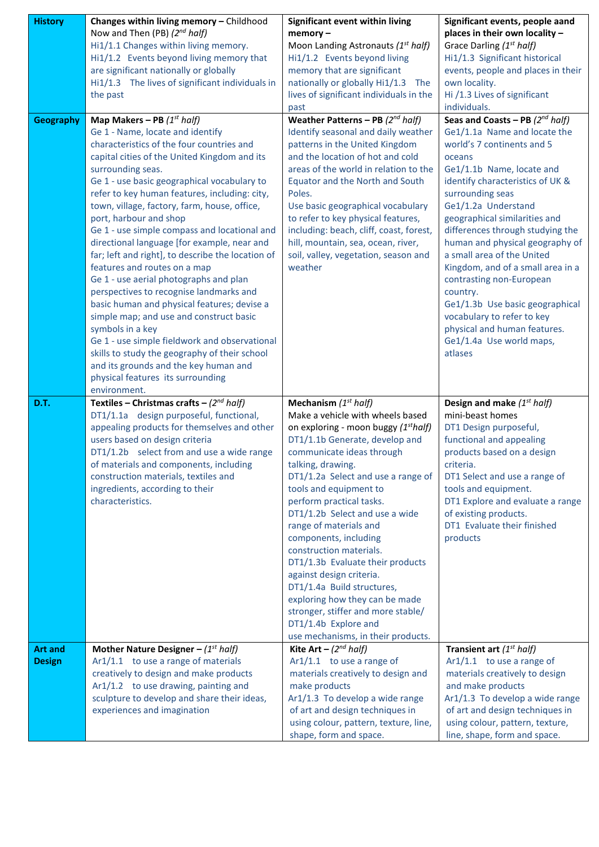| <b>History</b> | Changes within living memory - Childhood                                                       | Significant event within living                                               | Significant events, people aand                                    |
|----------------|------------------------------------------------------------------------------------------------|-------------------------------------------------------------------------------|--------------------------------------------------------------------|
|                | Now and Then (PB) (2nd half)                                                                   | $memory -$                                                                    | places in their own locality -                                     |
|                | Hi1/1.1 Changes within living memory.                                                          | Moon Landing Astronauts (1st half)                                            | Grace Darling (1 <sup>st</sup> half)                               |
|                | Hi1/1.2 Events beyond living memory that                                                       | Hi1/1.2 Events beyond living                                                  | Hi1/1.3 Significant historical                                     |
|                | are significant nationally or globally<br>Hi1/1.3 The lives of significant individuals in      | memory that are significant                                                   | events, people and places in their<br>own locality.                |
|                | the past                                                                                       | nationally or globally Hi1/1.3 The<br>lives of significant individuals in the | Hi /1.3 Lives of significant                                       |
|                |                                                                                                | past                                                                          | individuals.                                                       |
| Geography      | Map Makers – PB $(1^{st}$ half)                                                                | Weather Patterns - PB $(2^{nd}$ half)                                         | Seas and Coasts - PB $(2^{nd} half)$                               |
|                | Ge 1 - Name, locate and identify                                                               | Identify seasonal and daily weather                                           | Ge1/1.1a Name and locate the                                       |
|                | characteristics of the four countries and                                                      | patterns in the United Kingdom                                                | world's 7 continents and 5                                         |
|                | capital cities of the United Kingdom and its                                                   | and the location of hot and cold                                              | oceans                                                             |
|                | surrounding seas.                                                                              | areas of the world in relation to the                                         | Ge1/1.1b Name, locate and                                          |
|                | Ge 1 - use basic geographical vocabulary to                                                    | Equator and the North and South                                               | identify characteristics of UK &                                   |
|                | refer to key human features, including: city,                                                  | Poles.                                                                        | surrounding seas                                                   |
|                | town, village, factory, farm, house, office,                                                   | Use basic geographical vocabulary                                             | Ge1/1.2a Understand                                                |
|                | port, harbour and shop                                                                         | to refer to key physical features,                                            | geographical similarities and                                      |
|                | Ge 1 - use simple compass and locational and                                                   | including: beach, cliff, coast, forest,                                       | differences through studying the                                   |
|                | directional language [for example, near and                                                    | hill, mountain, sea, ocean, river,                                            | human and physical geography of                                    |
|                | far; left and right], to describe the location of                                              | soil, valley, vegetation, season and                                          | a small area of the United                                         |
|                | features and routes on a map                                                                   | weather                                                                       | Kingdom, and of a small area in a                                  |
|                | Ge 1 - use aerial photographs and plan                                                         |                                                                               | contrasting non-European                                           |
|                | perspectives to recognise landmarks and                                                        |                                                                               | country.                                                           |
|                | basic human and physical features; devise a                                                    |                                                                               | Ge1/1.3b Use basic geographical                                    |
|                | simple map; and use and construct basic                                                        |                                                                               | vocabulary to refer to key                                         |
|                | symbols in a key                                                                               |                                                                               | physical and human features.                                       |
|                | Ge 1 - use simple fieldwork and observational<br>skills to study the geography of their school |                                                                               | Ge1/1.4a Use world maps,<br>atlases                                |
|                | and its grounds and the key human and                                                          |                                                                               |                                                                    |
|                | physical features its surrounding                                                              |                                                                               |                                                                    |
|                |                                                                                                |                                                                               |                                                                    |
|                |                                                                                                |                                                                               |                                                                    |
|                | environment.                                                                                   |                                                                               |                                                                    |
| D.T.           | Textiles – Christmas crafts – $(2^{nd}$ half)                                                  | Mechanism $(1^{st}$ half)<br>Make a vehicle with wheels based                 | Design and make $(1^{st}$ half)<br>mini-beast homes                |
|                | DT1/1.1a design purposeful, functional,<br>appealing products for themselves and other         | on exploring - moon buggy (1 <sup>st</sup> half)                              | DT1 Design purposeful,                                             |
|                | users based on design criteria                                                                 | DT1/1.1b Generate, develop and                                                | functional and appealing                                           |
|                | DT1/1.2b select from and use a wide range                                                      | communicate ideas through                                                     | products based on a design                                         |
|                | of materials and components, including                                                         | talking, drawing.                                                             | criteria.                                                          |
|                | construction materials, textiles and                                                           | DT1/1.2a Select and use a range of                                            | DT1 Select and use a range of                                      |
|                | ingredients, according to their                                                                | tools and equipment to                                                        | tools and equipment.                                               |
|                | characteristics.                                                                               | perform practical tasks.                                                      | DT1 Explore and evaluate a range                                   |
|                |                                                                                                | DT1/1.2b Select and use a wide                                                | of existing products.                                              |
|                |                                                                                                | range of materials and                                                        | DT1 Evaluate their finished                                        |
|                |                                                                                                | components, including                                                         | products                                                           |
|                |                                                                                                | construction materials.                                                       |                                                                    |
|                |                                                                                                | DT1/1.3b Evaluate their products<br>against design criteria.                  |                                                                    |
|                |                                                                                                | DT1/1.4a Build structures,                                                    |                                                                    |
|                |                                                                                                | exploring how they can be made                                                |                                                                    |
|                |                                                                                                | stronger, stiffer and more stable/                                            |                                                                    |
|                |                                                                                                | DT1/1.4b Explore and                                                          |                                                                    |
|                |                                                                                                | use mechanisms, in their products.                                            |                                                                    |
| <b>Art and</b> | Mother Nature Designer - $(1^{st}$ half)                                                       | Kite Art – $(2^{nd} half)$                                                    | Transient art $(1^{st}$ half)                                      |
| <b>Design</b>  | Ar1/1.1 to use a range of materials                                                            | $Ar1/1.1$ to use a range of                                                   | $Ar1/1.1$ to use a range of                                        |
|                | creatively to design and make products                                                         | materials creatively to design and                                            | materials creatively to design                                     |
|                | Ar1/1.2 to use drawing, painting and                                                           | make products                                                                 | and make products                                                  |
|                | sculpture to develop and share their ideas,                                                    | Ar1/1.3 To develop a wide range                                               | Ar1/1.3 To develop a wide range                                    |
|                | experiences and imagination                                                                    | of art and design techniques in<br>using colour, pattern, texture, line,      | of art and design techniques in<br>using colour, pattern, texture, |